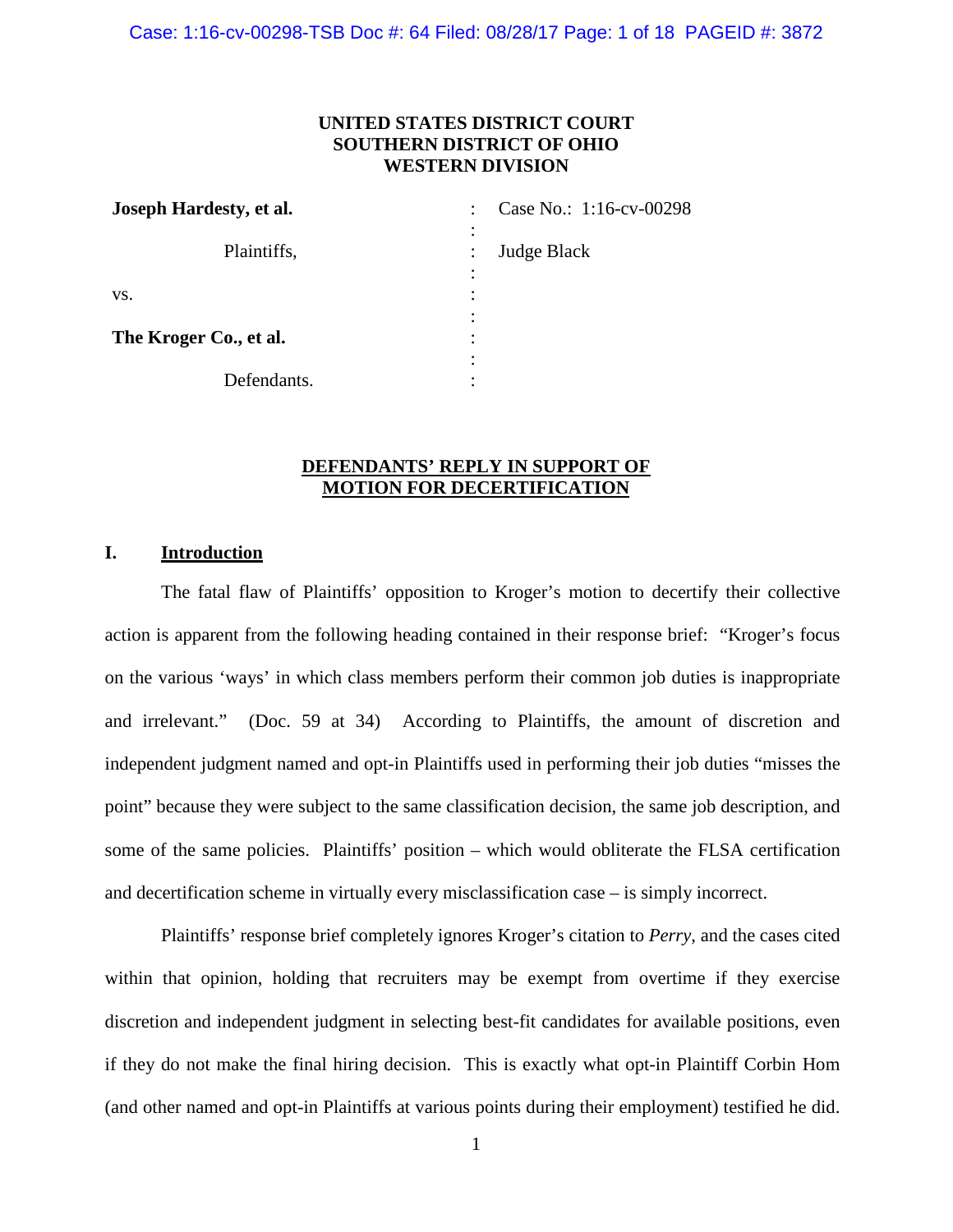Case: 1:16-cv-00298-TSB Doc #: 64 Filed: 08/28/17 Page: 1 of 18 PAGEID #: 3872

# **UNITED STATES DISTRICT COURT SOUTHERN DISTRICT OF OHIO WESTERN DIVISION**

| Joseph Hardesty, et al. | Case No.: 1:16-cv-00298<br>$\ddot{\phantom{0}}$                         |
|-------------------------|-------------------------------------------------------------------------|
| Plaintiffs,             | $\ddot{\cdot}$<br>Judge Black<br>$\ddot{\phantom{a}}$<br>$\ddot{\cdot}$ |
| VS.                     | ٠<br>$\bullet$<br>٠                                                     |
| The Kroger Co., et al.  | $\bullet$<br>٠<br>$\bullet$                                             |
| Defendants.             | ٠                                                                       |

# **DEFENDANTS' REPLY IN SUPPORT OF MOTION FOR DECERTIFICATION**

## **I. Introduction**

The fatal flaw of Plaintiffs' opposition to Kroger's motion to decertify their collective action is apparent from the following heading contained in their response brief: "Kroger's focus on the various 'ways' in which class members perform their common job duties is inappropriate and irrelevant." (Doc. 59 at 34) According to Plaintiffs, the amount of discretion and independent judgment named and opt-in Plaintiffs used in performing their job duties "misses the point" because they were subject to the same classification decision, the same job description, and some of the same policies. Plaintiffs' position – which would obliterate the FLSA certification and decertification scheme in virtually every misclassification case – is simply incorrect.

Plaintiffs' response brief completely ignores Kroger's citation to *Perry*, and the cases cited within that opinion, holding that recruiters may be exempt from overtime if they exercise discretion and independent judgment in selecting best-fit candidates for available positions, even if they do not make the final hiring decision. This is exactly what opt-in Plaintiff Corbin Hom (and other named and opt-in Plaintiffs at various points during their employment) testified he did.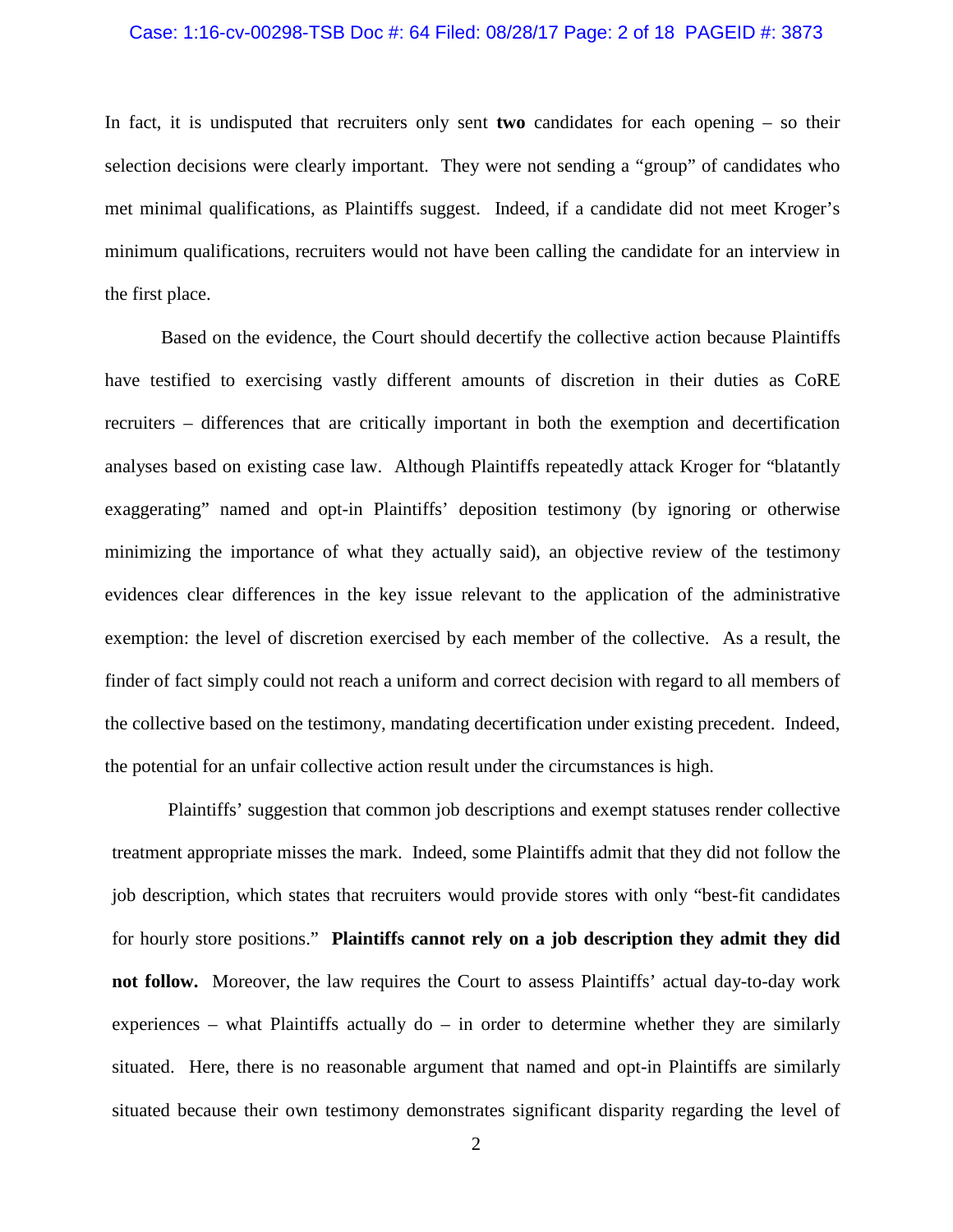### Case: 1:16-cv-00298-TSB Doc #: 64 Filed: 08/28/17 Page: 2 of 18 PAGEID #: 3873

In fact, it is undisputed that recruiters only sent **two** candidates for each opening – so their selection decisions were clearly important. They were not sending a "group" of candidates who met minimal qualifications, as Plaintiffs suggest. Indeed, if a candidate did not meet Kroger's minimum qualifications, recruiters would not have been calling the candidate for an interview in the first place.

Based on the evidence, the Court should decertify the collective action because Plaintiffs have testified to exercising vastly different amounts of discretion in their duties as CoRE recruiters – differences that are critically important in both the exemption and decertification analyses based on existing case law. Although Plaintiffs repeatedly attack Kroger for "blatantly exaggerating" named and opt-in Plaintiffs' deposition testimony (by ignoring or otherwise minimizing the importance of what they actually said), an objective review of the testimony evidences clear differences in the key issue relevant to the application of the administrative exemption: the level of discretion exercised by each member of the collective. As a result, the finder of fact simply could not reach a uniform and correct decision with regard to all members of the collective based on the testimony, mandating decertification under existing precedent. Indeed, the potential for an unfair collective action result under the circumstances is high.

Plaintiffs' suggestion that common job descriptions and exempt statuses render collective treatment appropriate misses the mark. Indeed, some Plaintiffs admit that they did not follow the job description, which states that recruiters would provide stores with only "best-fit candidates for hourly store positions." **Plaintiffs cannot rely on a job description they admit they did not follow.** Moreover, the law requires the Court to assess Plaintiffs' actual day-to-day work experiences – what Plaintiffs actually  $d\sigma$  – in order to determine whether they are similarly situated. Here, there is no reasonable argument that named and opt-in Plaintiffs are similarly situated because their own testimony demonstrates significant disparity regarding the level of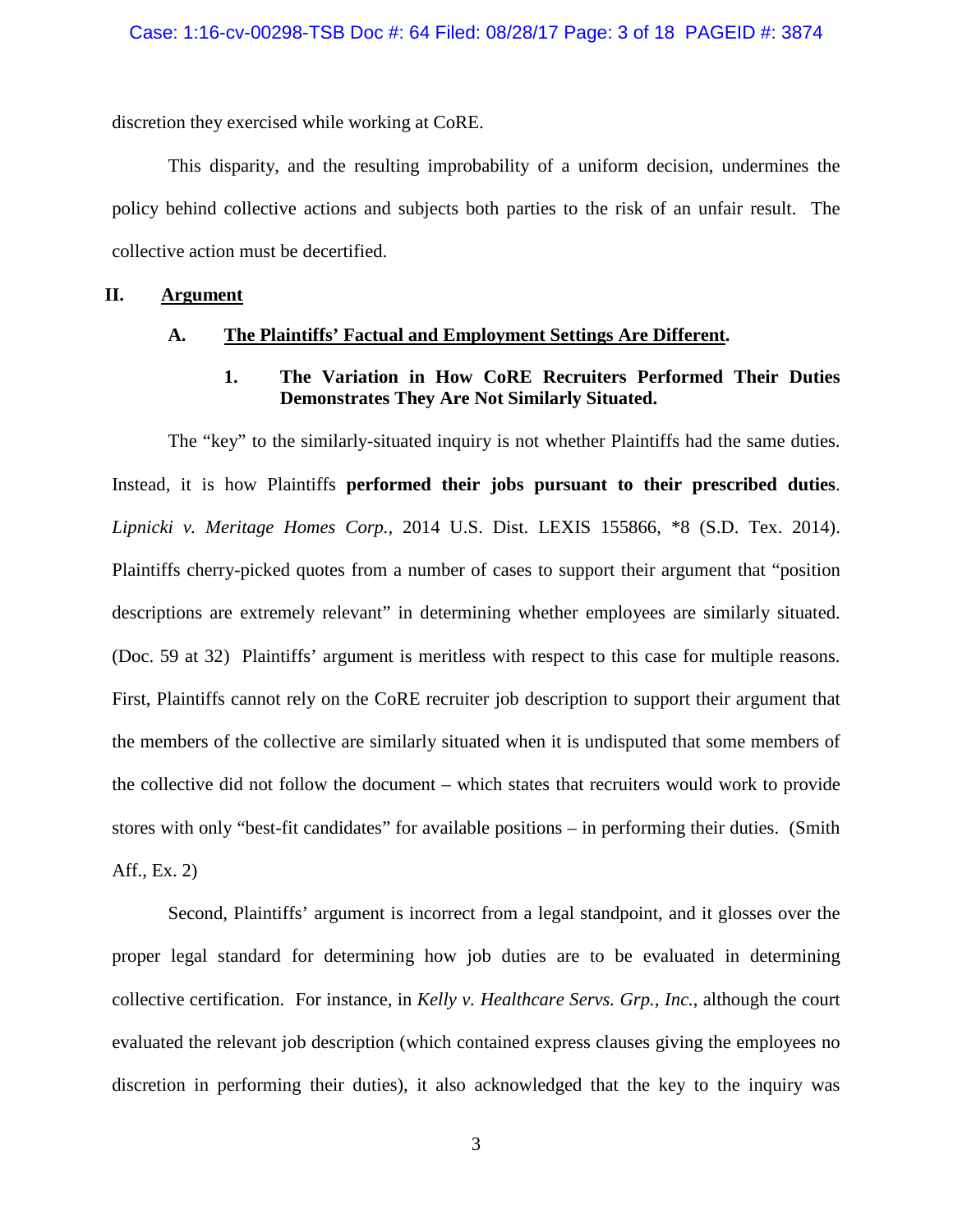discretion they exercised while working at CoRE.

This disparity, and the resulting improbability of a uniform decision, undermines the policy behind collective actions and subjects both parties to the risk of an unfair result. The collective action must be decertified.

### **II. Argument**

## **A. The Plaintiffs' Factual and Employment Settings Are Different.**

# **1. The Variation in How CoRE Recruiters Performed Their Duties Demonstrates They Are Not Similarly Situated.**

The "key" to the similarly-situated inquiry is not whether Plaintiffs had the same duties. Instead, it is how Plaintiffs **performed their jobs pursuant to their prescribed duties**. *Lipnicki v. Meritage Homes Corp.*, 2014 U.S. Dist. LEXIS 155866, \*8 (S.D. Tex. 2014). Plaintiffs cherry-picked quotes from a number of cases to support their argument that "position descriptions are extremely relevant" in determining whether employees are similarly situated. (Doc. 59 at 32) Plaintiffs' argument is meritless with respect to this case for multiple reasons. First, Plaintiffs cannot rely on the CoRE recruiter job description to support their argument that the members of the collective are similarly situated when it is undisputed that some members of the collective did not follow the document – which states that recruiters would work to provide stores with only "best-fit candidates" for available positions – in performing their duties. (Smith Aff., Ex. 2)

Second, Plaintiffs' argument is incorrect from a legal standpoint, and it glosses over the proper legal standard for determining how job duties are to be evaluated in determining collective certification. For instance, in *Kelly v. Healthcare Servs. Grp., Inc.*, although the court evaluated the relevant job description (which contained express clauses giving the employees no discretion in performing their duties), it also acknowledged that the key to the inquiry was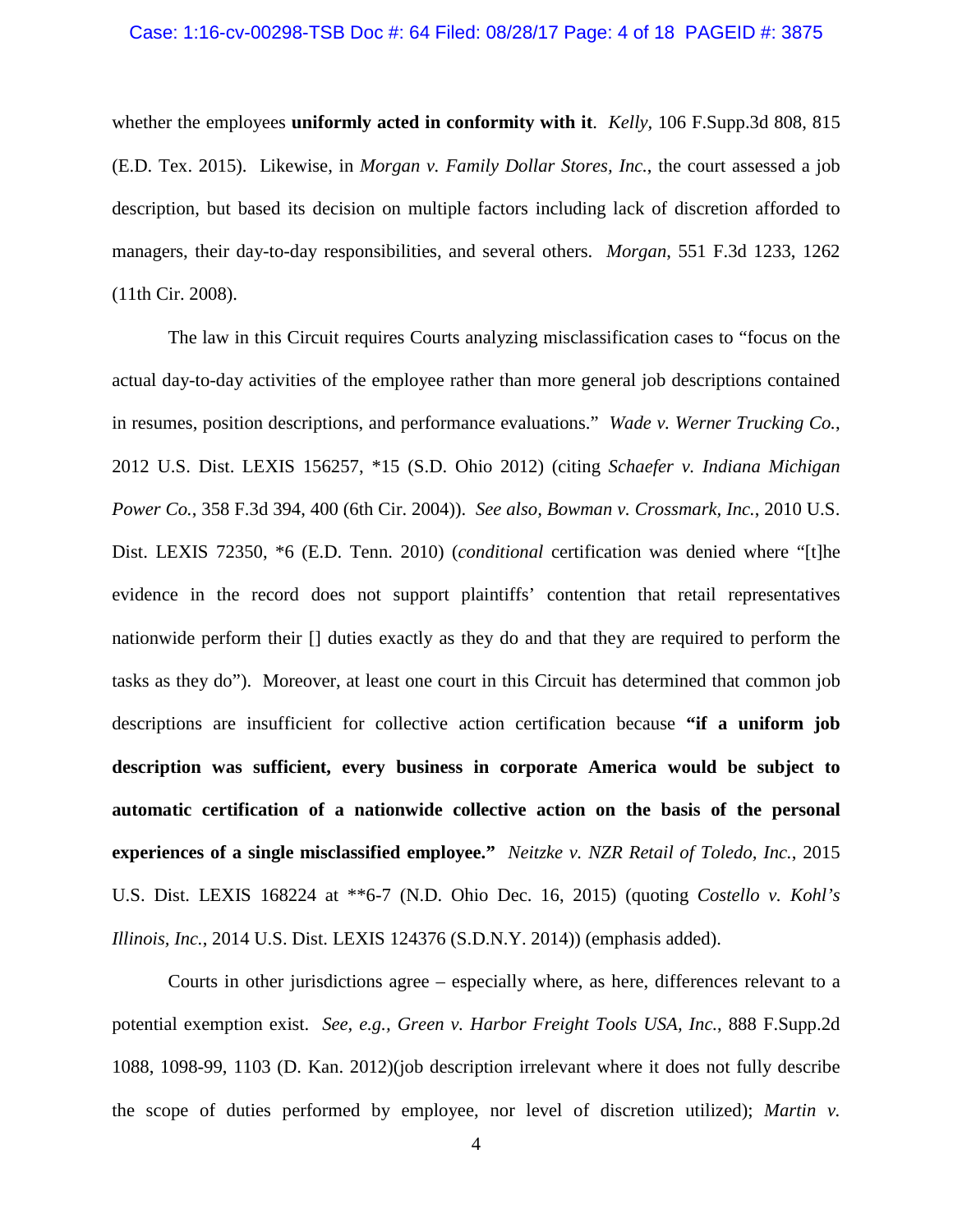#### Case: 1:16-cv-00298-TSB Doc #: 64 Filed: 08/28/17 Page: 4 of 18 PAGEID #: 3875

whether the employees **uniformly acted in conformity with it**. *Kelly,* 106 F.Supp.3d 808, 815 (E.D. Tex. 2015). Likewise, in *Morgan v. Family Dollar Stores, Inc.*, the court assessed a job description, but based its decision on multiple factors including lack of discretion afforded to managers, their day-to-day responsibilities, and several others. *Morgan*, 551 F.3d 1233, 1262 (11th Cir. 2008).

The law in this Circuit requires Courts analyzing misclassification cases to "focus on the actual day-to-day activities of the employee rather than more general job descriptions contained in resumes, position descriptions, and performance evaluations." *Wade v. Werner Trucking Co.*, 2012 U.S. Dist. LEXIS 156257, \*15 (S.D. Ohio 2012) (citing *Schaefer v. Indiana Michigan Power Co.*, 358 F.3d 394, 400 (6th Cir. 2004)). *See also, Bowman v. Crossmark, Inc.*, 2010 U.S. Dist. LEXIS 72350, \*6 (E.D. Tenn. 2010) (*conditional* certification was denied where "[t]he evidence in the record does not support plaintiffs' contention that retail representatives nationwide perform their [] duties exactly as they do and that they are required to perform the tasks as they do"). Moreover, at least one court in this Circuit has determined that common job descriptions are insufficient for collective action certification because **"if a uniform job description was sufficient, every business in corporate America would be subject to automatic certification of a nationwide collective action on the basis of the personal experiences of a single misclassified employee."** *Neitzke v. NZR Retail of Toledo, Inc.*, 2015 U.S. Dist. LEXIS 168224 at \*\*6-7 (N.D. Ohio Dec. 16, 2015) (quoting *Costello v. Kohl's Illinois, Inc.*, 2014 U.S. Dist. LEXIS 124376 (S.D.N.Y. 2014)) (emphasis added).

Courts in other jurisdictions agree – especially where, as here, differences relevant to a potential exemption exist. *See, e.g., Green v. Harbor Freight Tools USA, Inc.*, 888 F.Supp.2d 1088, 1098-99, 1103 (D. Kan. 2012)(job description irrelevant where it does not fully describe the scope of duties performed by employee, nor level of discretion utilized); *Martin v.*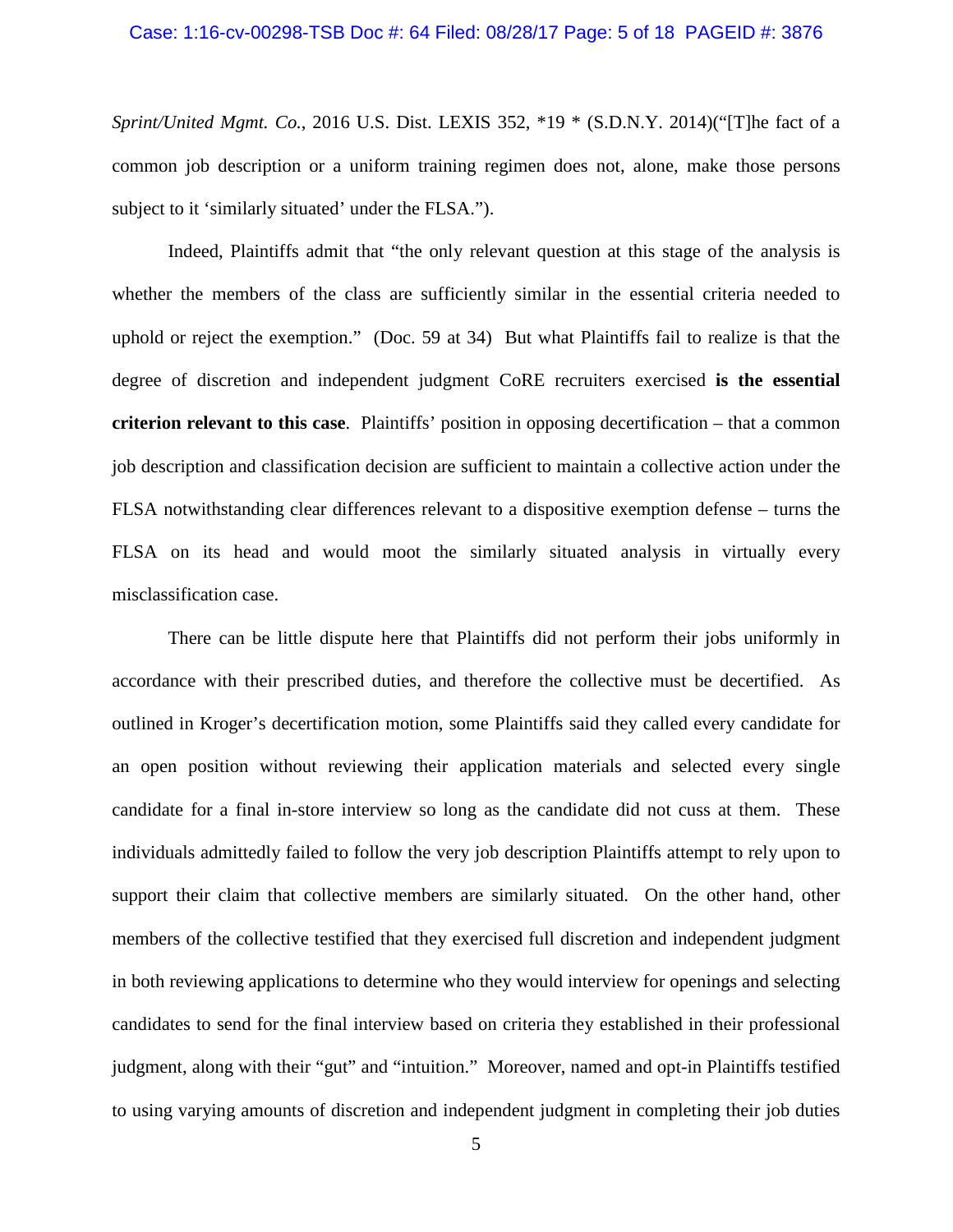*Sprint/United Mgmt. Co.*, 2016 U.S. Dist. LEXIS 352, \*19 \* (S.D.N.Y. 2014)("[T]he fact of a common job description or a uniform training regimen does not, alone, make those persons subject to it 'similarly situated' under the FLSA.").

Indeed, Plaintiffs admit that "the only relevant question at this stage of the analysis is whether the members of the class are sufficiently similar in the essential criteria needed to uphold or reject the exemption." (Doc. 59 at 34) But what Plaintiffs fail to realize is that the degree of discretion and independent judgment CoRE recruiters exercised **is the essential criterion relevant to this case**. Plaintiffs' position in opposing decertification – that a common job description and classification decision are sufficient to maintain a collective action under the FLSA notwithstanding clear differences relevant to a dispositive exemption defense – turns the FLSA on its head and would moot the similarly situated analysis in virtually every misclassification case.

There can be little dispute here that Plaintiffs did not perform their jobs uniformly in accordance with their prescribed duties, and therefore the collective must be decertified. As outlined in Kroger's decertification motion, some Plaintiffs said they called every candidate for an open position without reviewing their application materials and selected every single candidate for a final in-store interview so long as the candidate did not cuss at them. These individuals admittedly failed to follow the very job description Plaintiffs attempt to rely upon to support their claim that collective members are similarly situated. On the other hand, other members of the collective testified that they exercised full discretion and independent judgment in both reviewing applications to determine who they would interview for openings and selecting candidates to send for the final interview based on criteria they established in their professional judgment, along with their "gut" and "intuition." Moreover, named and opt-in Plaintiffs testified to using varying amounts of discretion and independent judgment in completing their job duties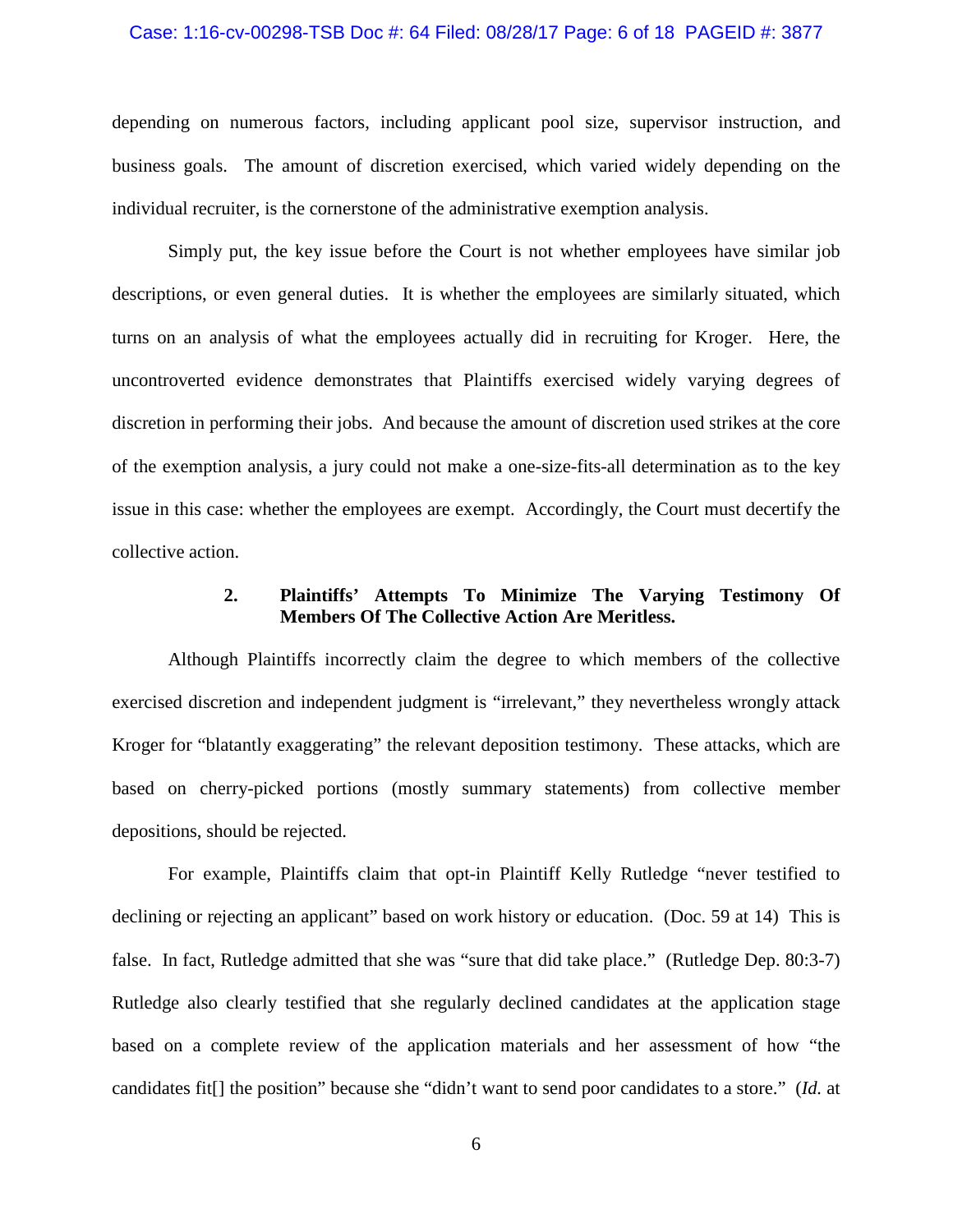### Case: 1:16-cv-00298-TSB Doc #: 64 Filed: 08/28/17 Page: 6 of 18 PAGEID #: 3877

depending on numerous factors, including applicant pool size, supervisor instruction, and business goals. The amount of discretion exercised, which varied widely depending on the individual recruiter, is the cornerstone of the administrative exemption analysis.

Simply put, the key issue before the Court is not whether employees have similar job descriptions, or even general duties. It is whether the employees are similarly situated, which turns on an analysis of what the employees actually did in recruiting for Kroger. Here, the uncontroverted evidence demonstrates that Plaintiffs exercised widely varying degrees of discretion in performing their jobs. And because the amount of discretion used strikes at the core of the exemption analysis, a jury could not make a one-size-fits-all determination as to the key issue in this case: whether the employees are exempt. Accordingly, the Court must decertify the collective action.

# **2. Plaintiffs' Attempts To Minimize The Varying Testimony Of Members Of The Collective Action Are Meritless.**

Although Plaintiffs incorrectly claim the degree to which members of the collective exercised discretion and independent judgment is "irrelevant," they nevertheless wrongly attack Kroger for "blatantly exaggerating" the relevant deposition testimony. These attacks, which are based on cherry-picked portions (mostly summary statements) from collective member depositions, should be rejected.

For example, Plaintiffs claim that opt-in Plaintiff Kelly Rutledge "never testified to declining or rejecting an applicant" based on work history or education. (Doc. 59 at 14) This is false. In fact, Rutledge admitted that she was "sure that did take place." (Rutledge Dep. 80:3-7) Rutledge also clearly testified that she regularly declined candidates at the application stage based on a complete review of the application materials and her assessment of how "the candidates fit[] the position" because she "didn't want to send poor candidates to a store." (*Id.* at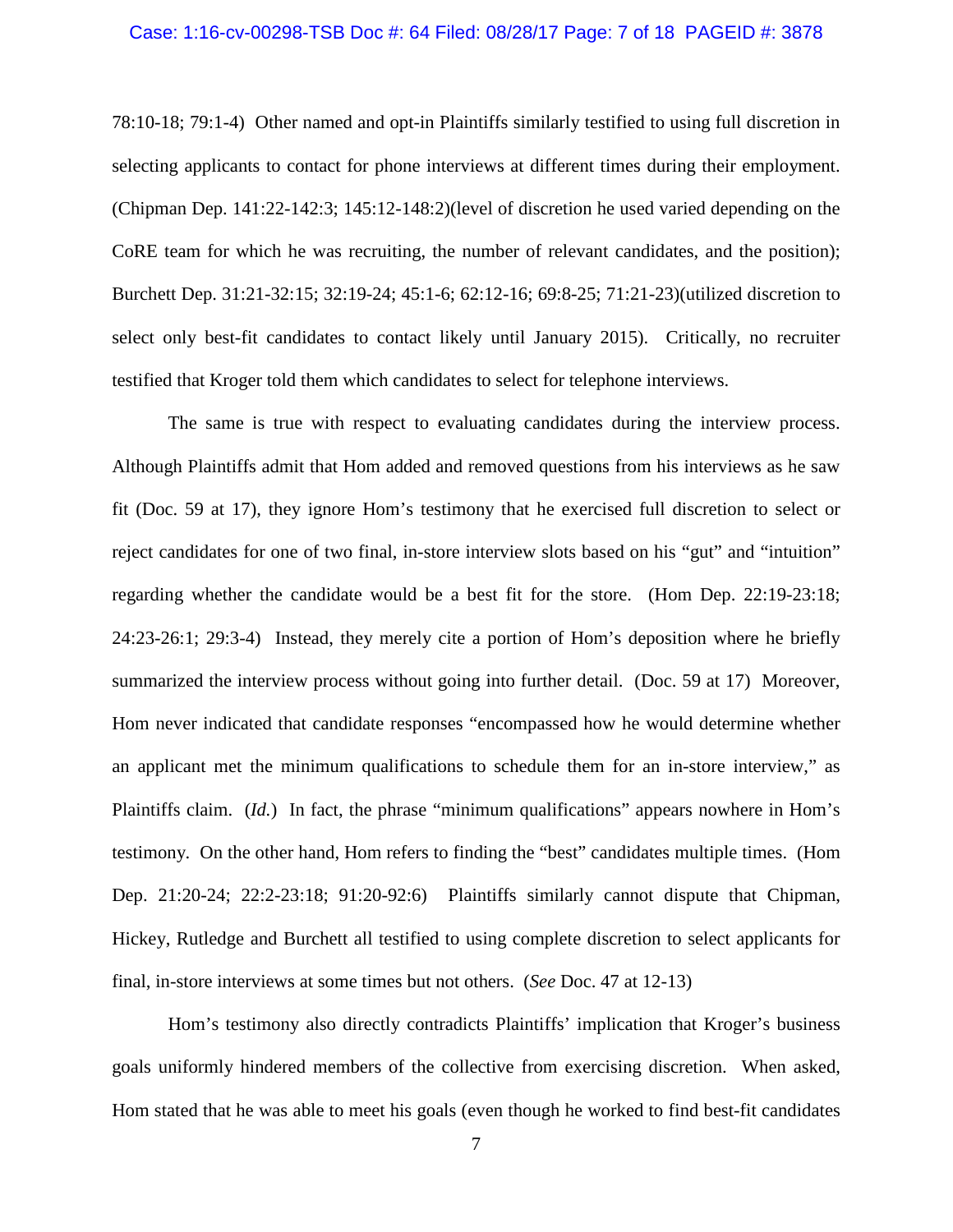### Case: 1:16-cv-00298-TSB Doc #: 64 Filed: 08/28/17 Page: 7 of 18 PAGEID #: 3878

78:10-18; 79:1-4) Other named and opt-in Plaintiffs similarly testified to using full discretion in selecting applicants to contact for phone interviews at different times during their employment. (Chipman Dep. 141:22-142:3; 145:12-148:2)(level of discretion he used varied depending on the CoRE team for which he was recruiting, the number of relevant candidates, and the position); Burchett Dep. 31:21-32:15; 32:19-24; 45:1-6; 62:12-16; 69:8-25; 71:21-23)(utilized discretion to select only best-fit candidates to contact likely until January 2015). Critically, no recruiter testified that Kroger told them which candidates to select for telephone interviews.

The same is true with respect to evaluating candidates during the interview process. Although Plaintiffs admit that Hom added and removed questions from his interviews as he saw fit (Doc. 59 at 17), they ignore Hom's testimony that he exercised full discretion to select or reject candidates for one of two final, in-store interview slots based on his "gut" and "intuition" regarding whether the candidate would be a best fit for the store. (Hom Dep. 22:19-23:18; 24:23-26:1; 29:3-4) Instead, they merely cite a portion of Hom's deposition where he briefly summarized the interview process without going into further detail. (Doc. 59 at 17) Moreover, Hom never indicated that candidate responses "encompassed how he would determine whether an applicant met the minimum qualifications to schedule them for an in-store interview," as Plaintiffs claim. (*Id.*) In fact, the phrase "minimum qualifications" appears nowhere in Hom's testimony. On the other hand, Hom refers to finding the "best" candidates multiple times. (Hom Dep. 21:20-24; 22:2-23:18; 91:20-92:6) Plaintiffs similarly cannot dispute that Chipman, Hickey, Rutledge and Burchett all testified to using complete discretion to select applicants for final, in-store interviews at some times but not others. (*See* Doc. 47 at 12-13)

Hom's testimony also directly contradicts Plaintiffs' implication that Kroger's business goals uniformly hindered members of the collective from exercising discretion. When asked, Hom stated that he was able to meet his goals (even though he worked to find best-fit candidates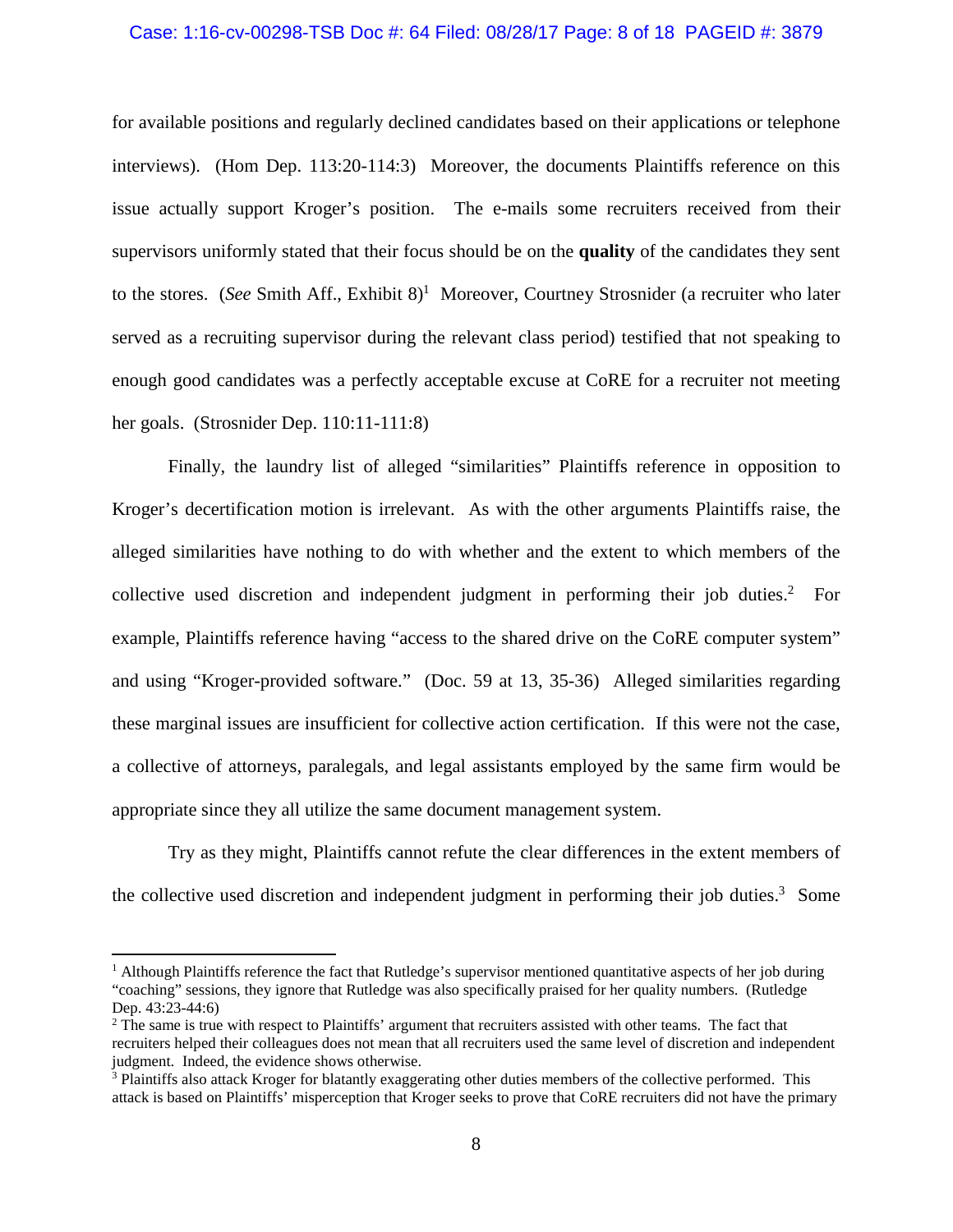### Case: 1:16-cv-00298-TSB Doc #: 64 Filed: 08/28/17 Page: 8 of 18 PAGEID #: 3879

for available positions and regularly declined candidates based on their applications or telephone interviews). (Hom Dep. 113:20-114:3) Moreover, the documents Plaintiffs reference on this issue actually support Kroger's position. The e-mails some recruiters received from their supervisors uniformly stated that their focus should be on the **quality** of the candidates they sent to the stores. (*See Smith Aff., Exhibit 8*)<sup>1</sup> Moreover, Courtney Strosnider (a recruiter who later served as a recruiting supervisor during the relevant class period) testified that not speaking to enough good candidates was a perfectly acceptable excuse at CoRE for a recruiter not meeting her goals. (Strosnider Dep. 110:11-111:8)

Finally, the laundry list of alleged "similarities" Plaintiffs reference in opposition to Kroger's decertification motion is irrelevant. As with the other arguments Plaintiffs raise, the alleged similarities have nothing to do with whether and the extent to which members of the collective used discretion and independent judgment in performing their job duties. $2$  For example, Plaintiffs reference having "access to the shared drive on the CoRE computer system" and using "Kroger-provided software." (Doc. 59 at 13, 35-36) Alleged similarities regarding these marginal issues are insufficient for collective action certification. If this were not the case, a collective of attorneys, paralegals, and legal assistants employed by the same firm would be appropriate since they all utilize the same document management system.

Try as they might, Plaintiffs cannot refute the clear differences in the extent members of the collective used discretion and independent judgment in performing their job duties.<sup>3</sup> Some

<sup>&</sup>lt;sup>1</sup> Although Plaintiffs reference the fact that Rutledge's supervisor mentioned quantitative aspects of her job during "coaching" sessions, they ignore that Rutledge was also specifically praised for her quality numbers. (Rutledge Dep. 43:23-44:6)

<sup>&</sup>lt;sup>2</sup> The same is true with respect to Plaintiffs' argument that recruiters assisted with other teams. The fact that recruiters helped their colleagues does not mean that all recruiters used the same level of discretion and independent judgment. Indeed, the evidence shows otherwise.

<sup>&</sup>lt;sup>3</sup> Plaintiffs also attack Kroger for blatantly exaggerating other duties members of the collective performed. This attack is based on Plaintiffs' misperception that Kroger seeks to prove that CoRE recruiters did not have the primary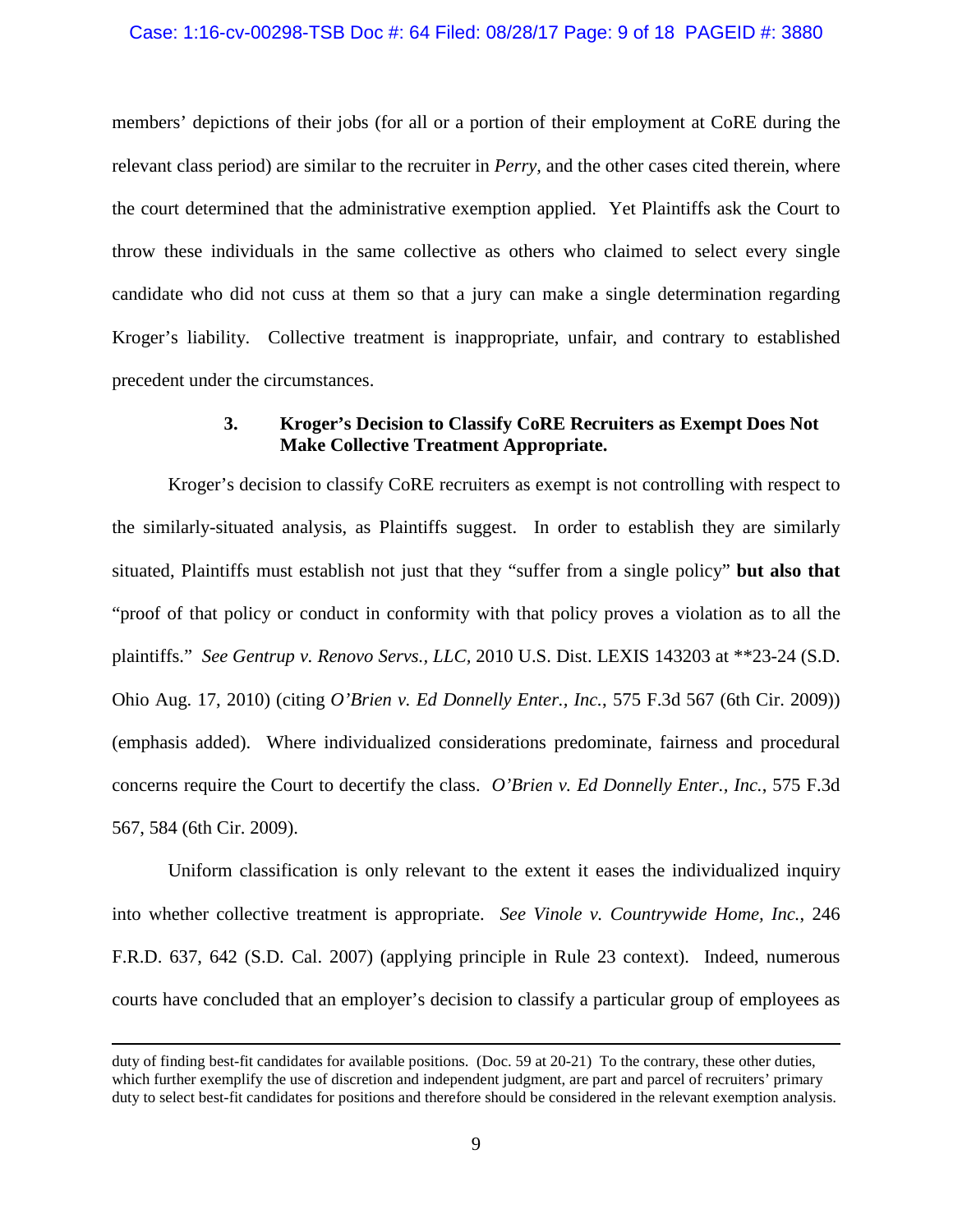### Case: 1:16-cv-00298-TSB Doc #: 64 Filed: 08/28/17 Page: 9 of 18 PAGEID #: 3880

members' depictions of their jobs (for all or a portion of their employment at CoRE during the relevant class period) are similar to the recruiter in *Perry,* and the other cases cited therein, where the court determined that the administrative exemption applied. Yet Plaintiffs ask the Court to throw these individuals in the same collective as others who claimed to select every single candidate who did not cuss at them so that a jury can make a single determination regarding Kroger's liability. Collective treatment is inappropriate, unfair, and contrary to established precedent under the circumstances.

# **3. Kroger's Decision to Classify CoRE Recruiters as Exempt Does Not Make Collective Treatment Appropriate.**

Kroger's decision to classify CoRE recruiters as exempt is not controlling with respect to the similarly-situated analysis, as Plaintiffs suggest. In order to establish they are similarly situated, Plaintiffs must establish not just that they "suffer from a single policy" **but also that** "proof of that policy or conduct in conformity with that policy proves a violation as to all the plaintiffs." *See Gentrup v. Renovo Servs., LLC,* 2010 U.S. Dist. LEXIS 143203 at \*\*23-24 (S.D. Ohio Aug. 17, 2010) (citing *O'Brien v. Ed Donnelly Enter., Inc.*, 575 F.3d 567 (6th Cir. 2009)) (emphasis added). Where individualized considerations predominate, fairness and procedural concerns require the Court to decertify the class. *O'Brien v. Ed Donnelly Enter., Inc.*, 575 F.3d 567, 584 (6th Cir. 2009).

Uniform classification is only relevant to the extent it eases the individualized inquiry into whether collective treatment is appropriate. *See Vinole v. Countrywide Home, Inc.*, 246 F.R.D. 637, 642 (S.D. Cal. 2007) (applying principle in Rule 23 context). Indeed, numerous courts have concluded that an employer's decision to classify a particular group of employees as

duty of finding best-fit candidates for available positions. (Doc. 59 at 20-21) To the contrary, these other duties, which further exemplify the use of discretion and independent judgment, are part and parcel of recruiters' primary duty to select best-fit candidates for positions and therefore should be considered in the relevant exemption analysis.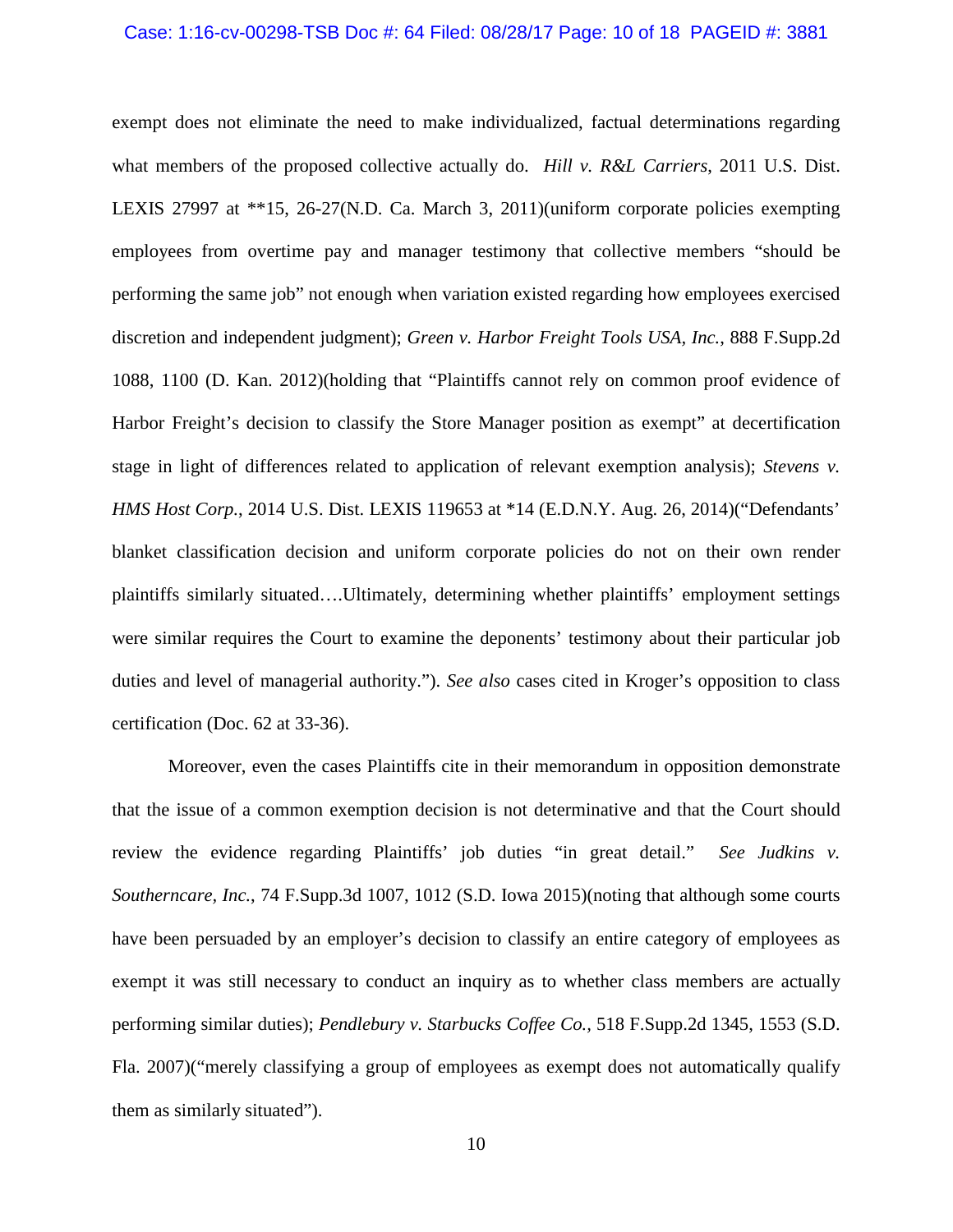#### Case: 1:16-cv-00298-TSB Doc #: 64 Filed: 08/28/17 Page: 10 of 18 PAGEID #: 3881

exempt does not eliminate the need to make individualized, factual determinations regarding what members of the proposed collective actually do. *Hill v. R&L Carriers*, 2011 U.S. Dist. LEXIS 27997 at \*\*15, 26-27(N.D. Ca. March 3, 2011)(uniform corporate policies exempting employees from overtime pay and manager testimony that collective members "should be performing the same job" not enough when variation existed regarding how employees exercised discretion and independent judgment); *Green v. Harbor Freight Tools USA, Inc.*, 888 F.Supp.2d 1088, 1100 (D. Kan. 2012)(holding that "Plaintiffs cannot rely on common proof evidence of Harbor Freight's decision to classify the Store Manager position as exempt" at decertification stage in light of differences related to application of relevant exemption analysis); *Stevens v. HMS Host Corp.*, 2014 U.S. Dist. LEXIS 119653 at \*14 (E.D.N.Y. Aug. 26, 2014)("Defendants' blanket classification decision and uniform corporate policies do not on their own render plaintiffs similarly situated….Ultimately, determining whether plaintiffs' employment settings were similar requires the Court to examine the deponents' testimony about their particular job duties and level of managerial authority."). *See also* cases cited in Kroger's opposition to class certification (Doc. 62 at 33-36).

Moreover, even the cases Plaintiffs cite in their memorandum in opposition demonstrate that the issue of a common exemption decision is not determinative and that the Court should review the evidence regarding Plaintiffs' job duties "in great detail." *See Judkins v. Southerncare, Inc.*, 74 F.Supp.3d 1007, 1012 (S.D. Iowa 2015)(noting that although some courts have been persuaded by an employer's decision to classify an entire category of employees as exempt it was still necessary to conduct an inquiry as to whether class members are actually performing similar duties); *Pendlebury v. Starbucks Coffee Co.,* 518 F.Supp.2d 1345, 1553 (S.D. Fla. 2007)("merely classifying a group of employees as exempt does not automatically qualify them as similarly situated").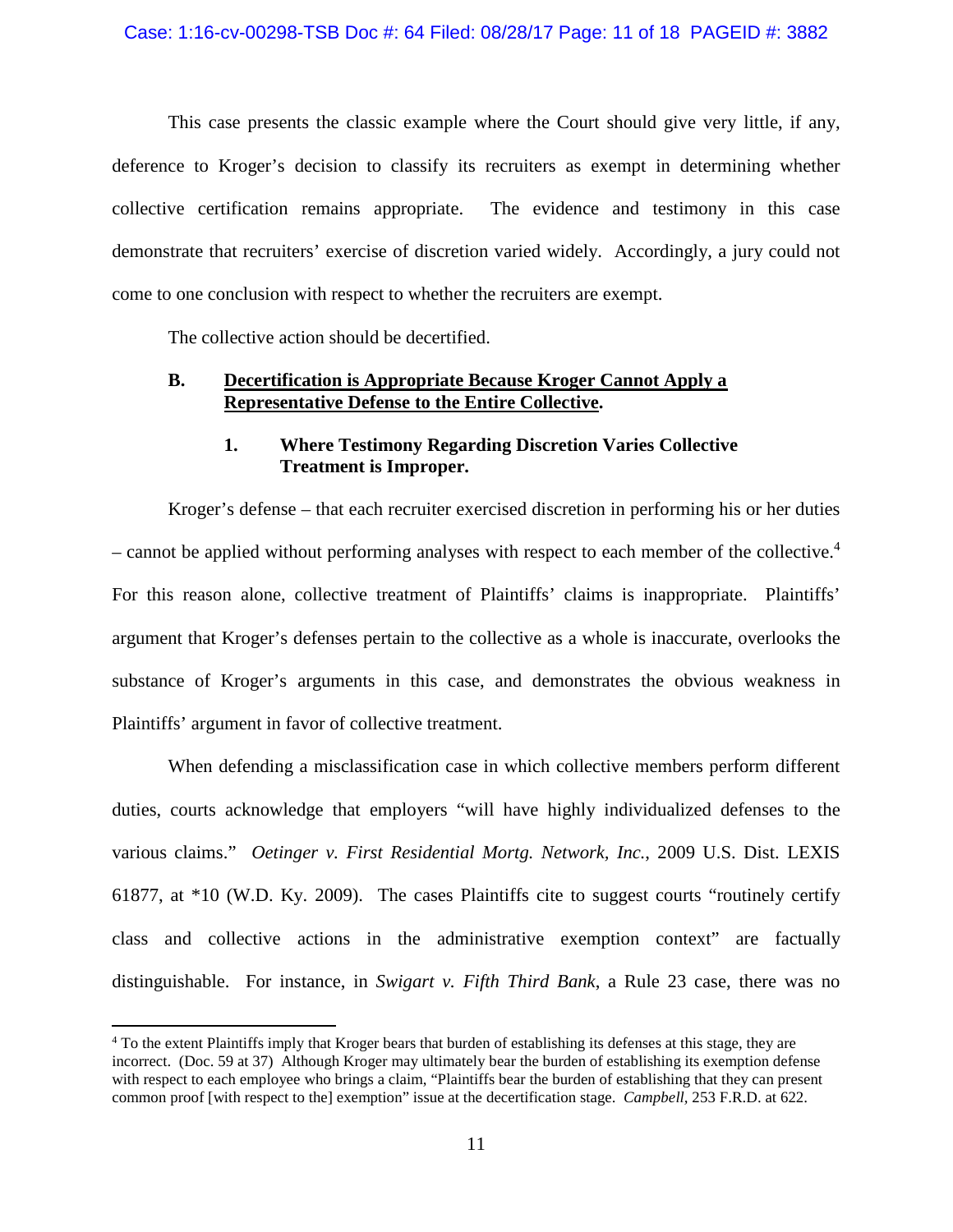This case presents the classic example where the Court should give very little, if any, deference to Kroger's decision to classify its recruiters as exempt in determining whether collective certification remains appropriate. The evidence and testimony in this case demonstrate that recruiters' exercise of discretion varied widely. Accordingly, a jury could not come to one conclusion with respect to whether the recruiters are exempt.

The collective action should be decertified.

## **B. Decertification is Appropriate Because Kroger Cannot Apply a Representative Defense to the Entire Collective.**

# **1. Where Testimony Regarding Discretion Varies Collective Treatment is Improper.**

Kroger's defense – that each recruiter exercised discretion in performing his or her duties – cannot be applied without performing analyses with respect to each member of the collective.<sup>4</sup> For this reason alone, collective treatment of Plaintiffs' claims is inappropriate. Plaintiffs' argument that Kroger's defenses pertain to the collective as a whole is inaccurate, overlooks the substance of Kroger's arguments in this case, and demonstrates the obvious weakness in Plaintiffs' argument in favor of collective treatment.

When defending a misclassification case in which collective members perform different duties, courts acknowledge that employers "will have highly individualized defenses to the various claims." *Oetinger v. First Residential Mortg. Network, Inc.*, 2009 U.S. Dist. LEXIS 61877, at \*10 (W.D. Ky. 2009). The cases Plaintiffs cite to suggest courts "routinely certify class and collective actions in the administrative exemption context" are factually distinguishable. For instance, in *Swigart v. Fifth Third Bank*, a Rule 23 case, there was no

<sup>4</sup> To the extent Plaintiffs imply that Kroger bears that burden of establishing its defenses at this stage, they are incorrect. (Doc. 59 at 37) Although Kroger may ultimately bear the burden of establishing its exemption defense with respect to each employee who brings a claim, "Plaintiffs bear the burden of establishing that they can present common proof [with respect to the] exemption" issue at the decertification stage. *Campbell,* 253 F.R.D. at 622.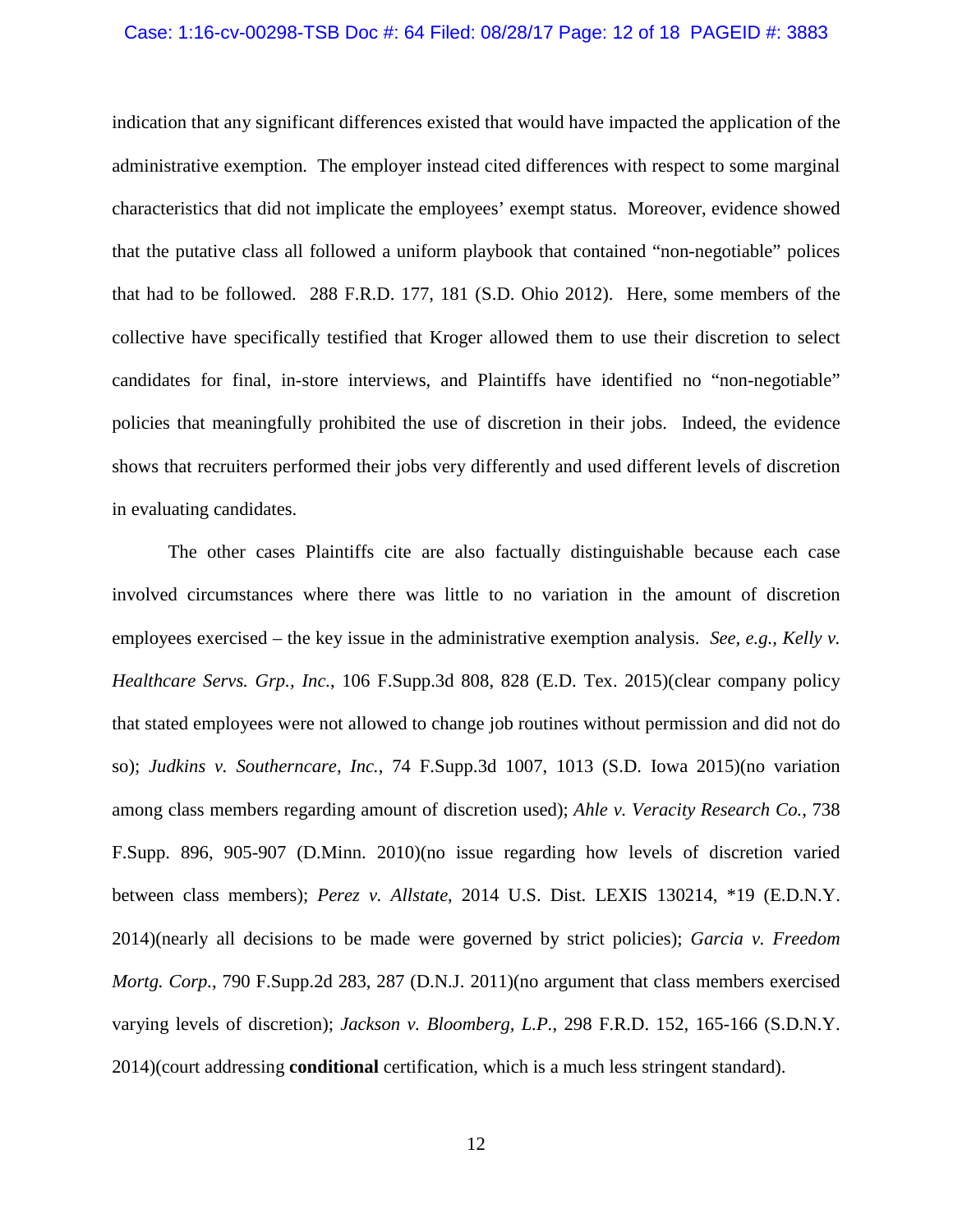### Case: 1:16-cv-00298-TSB Doc #: 64 Filed: 08/28/17 Page: 12 of 18 PAGEID #: 3883

indication that any significant differences existed that would have impacted the application of the administrative exemption. The employer instead cited differences with respect to some marginal characteristics that did not implicate the employees' exempt status. Moreover, evidence showed that the putative class all followed a uniform playbook that contained "non-negotiable" polices that had to be followed. 288 F.R.D. 177, 181 (S.D. Ohio 2012). Here, some members of the collective have specifically testified that Kroger allowed them to use their discretion to select candidates for final, in-store interviews, and Plaintiffs have identified no "non-negotiable" policies that meaningfully prohibited the use of discretion in their jobs. Indeed, the evidence shows that recruiters performed their jobs very differently and used different levels of discretion in evaluating candidates.

The other cases Plaintiffs cite are also factually distinguishable because each case involved circumstances where there was little to no variation in the amount of discretion employees exercised – the key issue in the administrative exemption analysis. *See, e.g., Kelly v. Healthcare Servs. Grp., Inc.*, 106 F.Supp.3d 808, 828 (E.D. Tex. 2015)(clear company policy that stated employees were not allowed to change job routines without permission and did not do so); *Judkins v. Southerncare*, *Inc.*, 74 F.Supp.3d 1007, 1013 (S.D. Iowa 2015)(no variation among class members regarding amount of discretion used); *Ahle v. Veracity Research Co.*, 738 F.Supp. 896, 905-907 (D.Minn. 2010)(no issue regarding how levels of discretion varied between class members); *Perez v. Allstate*, 2014 U.S. Dist. LEXIS 130214, \*19 (E.D.N.Y. 2014)(nearly all decisions to be made were governed by strict policies); *Garcia v. Freedom Mortg. Corp.*, 790 F.Supp.2d 283, 287 (D.N.J. 2011)(no argument that class members exercised varying levels of discretion); *Jackson v. Bloomberg, L.P.*, 298 F.R.D. 152, 165-166 (S.D.N.Y. 2014)(court addressing **conditional** certification, which is a much less stringent standard).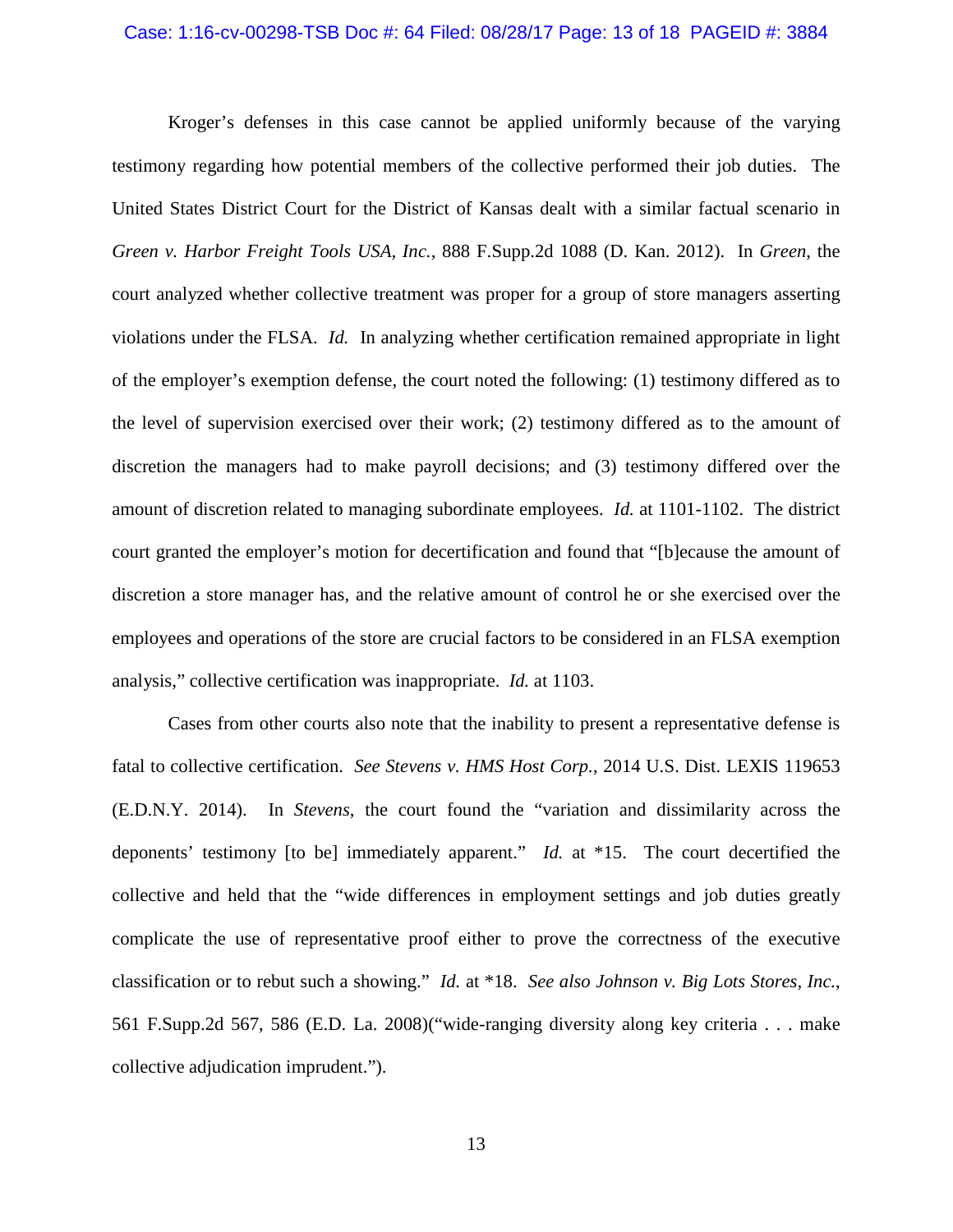#### Case: 1:16-cv-00298-TSB Doc #: 64 Filed: 08/28/17 Page: 13 of 18 PAGEID #: 3884

Kroger's defenses in this case cannot be applied uniformly because of the varying testimony regarding how potential members of the collective performed their job duties. The United States District Court for the District of Kansas dealt with a similar factual scenario in *Green v. Harbor Freight Tools USA, Inc.*, 888 F.Supp.2d 1088 (D. Kan. 2012). In *Green*, the court analyzed whether collective treatment was proper for a group of store managers asserting violations under the FLSA. *Id.* In analyzing whether certification remained appropriate in light of the employer's exemption defense, the court noted the following: (1) testimony differed as to the level of supervision exercised over their work; (2) testimony differed as to the amount of discretion the managers had to make payroll decisions; and (3) testimony differed over the amount of discretion related to managing subordinate employees. *Id.* at 1101-1102. The district court granted the employer's motion for decertification and found that "[b]ecause the amount of discretion a store manager has, and the relative amount of control he or she exercised over the employees and operations of the store are crucial factors to be considered in an FLSA exemption analysis," collective certification was inappropriate. *Id.* at 1103.

Cases from other courts also note that the inability to present a representative defense is fatal to collective certification. *See Stevens v. HMS Host Corp.*, 2014 U.S. Dist. LEXIS 119653 (E.D.N.Y. 2014). In *Stevens*, the court found the "variation and dissimilarity across the deponents' testimony [to be] immediately apparent." *Id.* at \*15. The court decertified the collective and held that the "wide differences in employment settings and job duties greatly complicate the use of representative proof either to prove the correctness of the executive classification or to rebut such a showing." *Id.* at \*18. *See also Johnson v. Big Lots Stores, Inc.*, 561 F.Supp.2d 567, 586 (E.D. La. 2008)("wide-ranging diversity along key criteria . . . make collective adjudication imprudent.").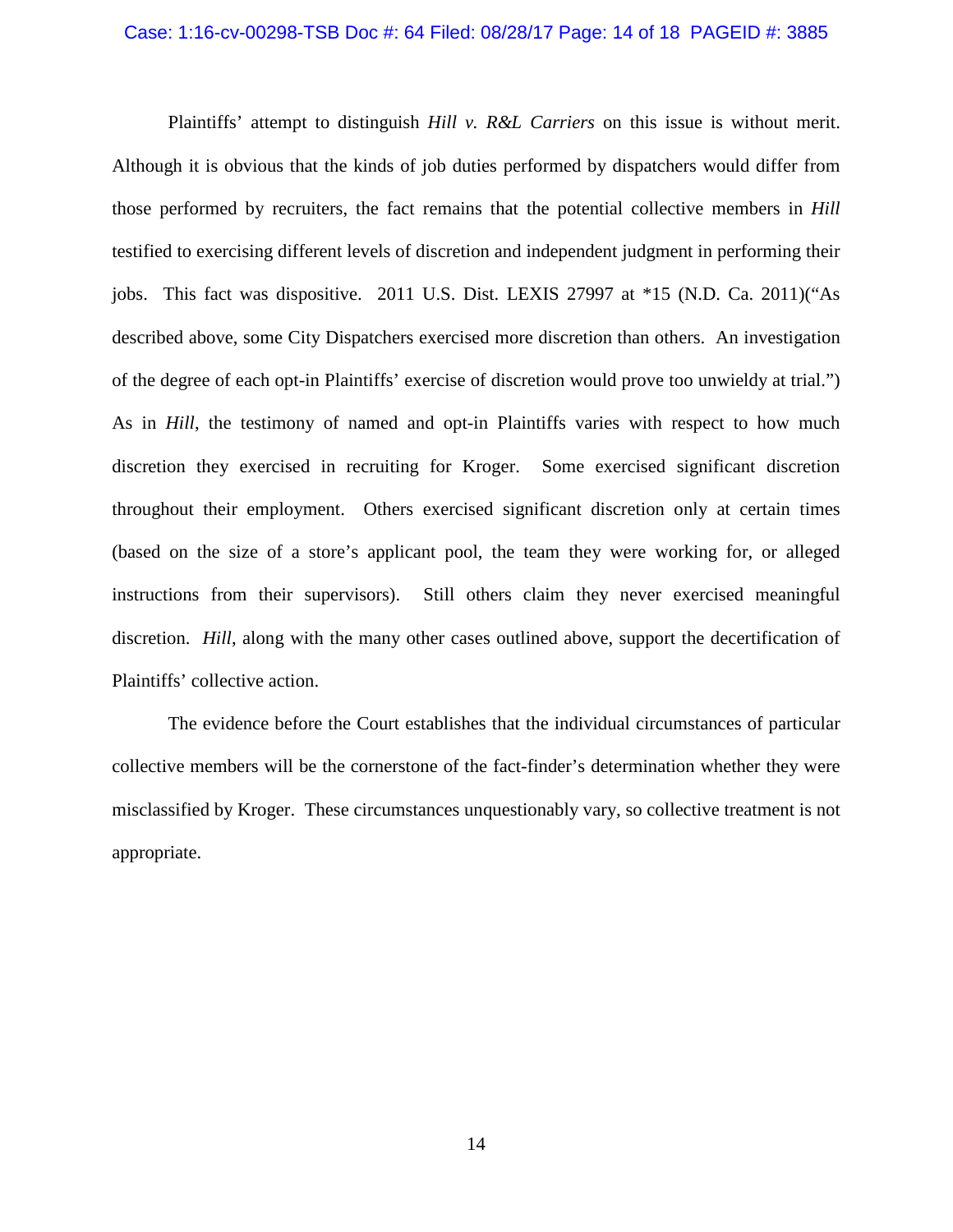#### Case: 1:16-cv-00298-TSB Doc #: 64 Filed: 08/28/17 Page: 14 of 18 PAGEID #: 3885

Plaintiffs' attempt to distinguish *Hill v. R&L Carriers* on this issue is without merit. Although it is obvious that the kinds of job duties performed by dispatchers would differ from those performed by recruiters, the fact remains that the potential collective members in *Hill*  testified to exercising different levels of discretion and independent judgment in performing their jobs. This fact was dispositive. 2011 U.S. Dist. LEXIS 27997 at \*15 (N.D. Ca. 2011)("As described above, some City Dispatchers exercised more discretion than others. An investigation of the degree of each opt-in Plaintiffs' exercise of discretion would prove too unwieldy at trial.") As in *Hill*, the testimony of named and opt-in Plaintiffs varies with respect to how much discretion they exercised in recruiting for Kroger. Some exercised significant discretion throughout their employment. Others exercised significant discretion only at certain times (based on the size of a store's applicant pool, the team they were working for, or alleged instructions from their supervisors). Still others claim they never exercised meaningful discretion. *Hill*, along with the many other cases outlined above, support the decertification of Plaintiffs' collective action.

The evidence before the Court establishes that the individual circumstances of particular collective members will be the cornerstone of the fact-finder's determination whether they were misclassified by Kroger. These circumstances unquestionably vary, so collective treatment is not appropriate.

14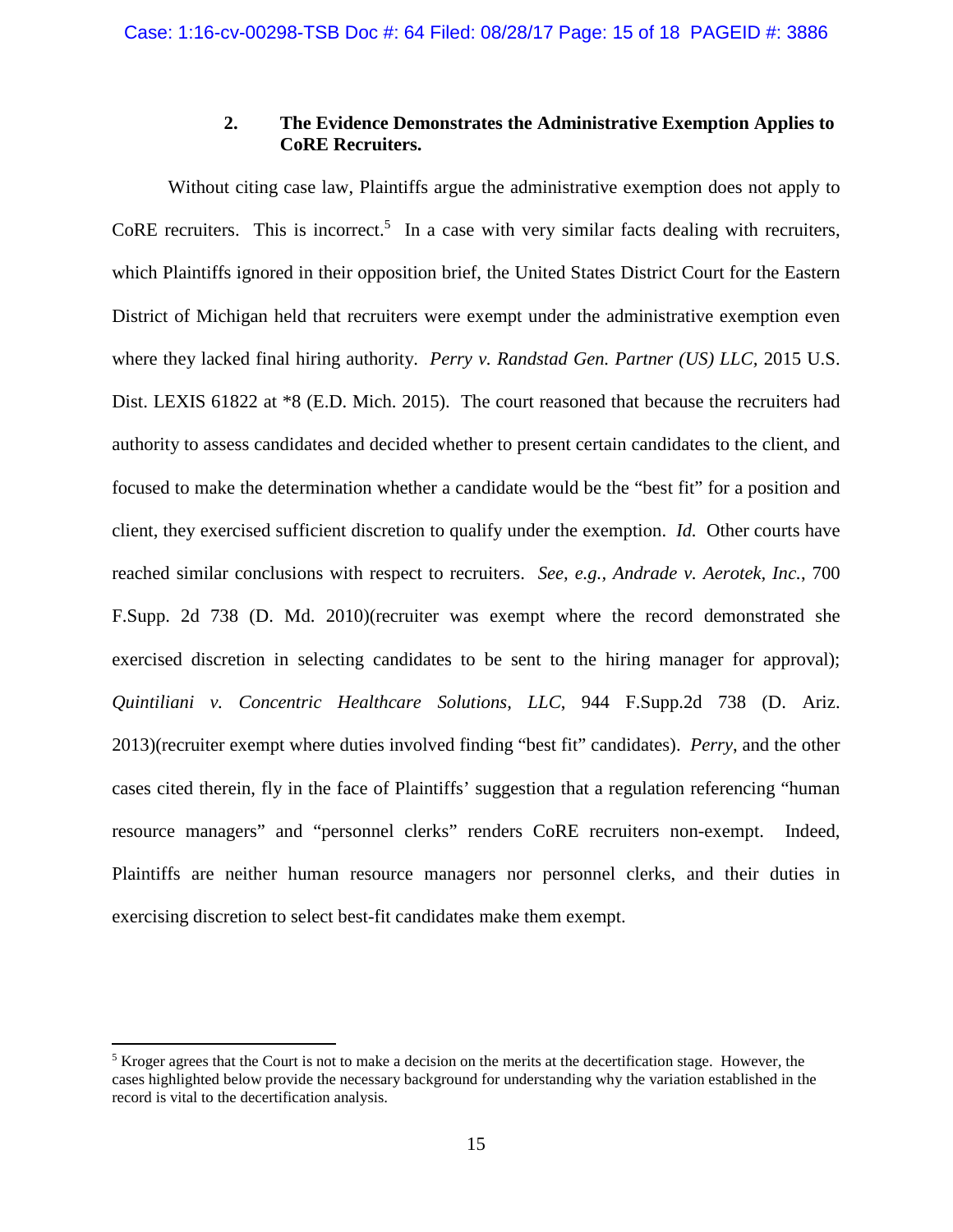# **2. The Evidence Demonstrates the Administrative Exemption Applies to CoRE Recruiters.**

Without citing case law, Plaintiffs argue the administrative exemption does not apply to CoRE recruiters. This is incorrect.<sup>5</sup> In a case with very similar facts dealing with recruiters, which Plaintiffs ignored in their opposition brief, the United States District Court for the Eastern District of Michigan held that recruiters were exempt under the administrative exemption even where they lacked final hiring authority. *Perry v. Randstad Gen. Partner (US) LLC,* 2015 U.S. Dist. LEXIS 61822 at \*8 (E.D. Mich. 2015). The court reasoned that because the recruiters had authority to assess candidates and decided whether to present certain candidates to the client, and focused to make the determination whether a candidate would be the "best fit" for a position and client, they exercised sufficient discretion to qualify under the exemption. *Id.* Other courts have reached similar conclusions with respect to recruiters. *See, e.g., Andrade v. Aerotek, Inc.*, 700 F.Supp. 2d 738 (D. Md. 2010)(recruiter was exempt where the record demonstrated she exercised discretion in selecting candidates to be sent to the hiring manager for approval); *Quintiliani v. Concentric Healthcare Solutions, LLC*, 944 F.Supp.2d 738 (D. Ariz. 2013)(recruiter exempt where duties involved finding "best fit" candidates). *Perry*, and the other cases cited therein, fly in the face of Plaintiffs' suggestion that a regulation referencing "human resource managers" and "personnel clerks" renders CoRE recruiters non-exempt. Indeed, Plaintiffs are neither human resource managers nor personnel clerks, and their duties in exercising discretion to select best-fit candidates make them exempt.

<sup>&</sup>lt;sup>5</sup> Kroger agrees that the Court is not to make a decision on the merits at the decertification stage. However, the cases highlighted below provide the necessary background for understanding why the variation established in the record is vital to the decertification analysis.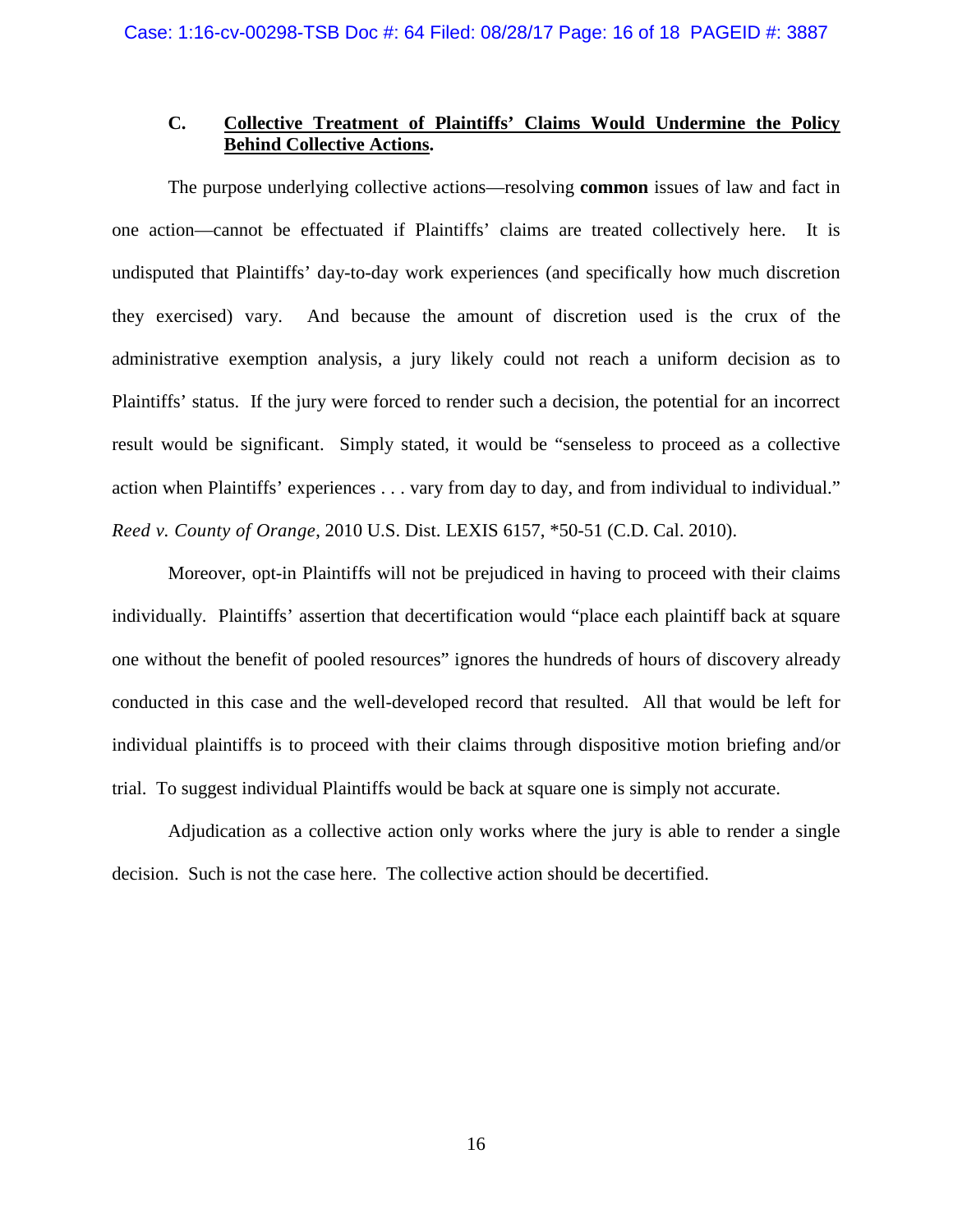# **C. Collective Treatment of Plaintiffs' Claims Would Undermine the Policy Behind Collective Actions.**

The purpose underlying collective actions—resolving **common** issues of law and fact in one action—cannot be effectuated if Plaintiffs' claims are treated collectively here. It is undisputed that Plaintiffs' day-to-day work experiences (and specifically how much discretion they exercised) vary. And because the amount of discretion used is the crux of the administrative exemption analysis, a jury likely could not reach a uniform decision as to Plaintiffs' status. If the jury were forced to render such a decision, the potential for an incorrect result would be significant. Simply stated, it would be "senseless to proceed as a collective action when Plaintiffs' experiences . . . vary from day to day, and from individual to individual." *Reed v. County of Orange*, 2010 U.S. Dist. LEXIS 6157, \*50-51 (C.D. Cal. 2010).

Moreover, opt-in Plaintiffs will not be prejudiced in having to proceed with their claims individually. Plaintiffs' assertion that decertification would "place each plaintiff back at square one without the benefit of pooled resources" ignores the hundreds of hours of discovery already conducted in this case and the well-developed record that resulted. All that would be left for individual plaintiffs is to proceed with their claims through dispositive motion briefing and/or trial. To suggest individual Plaintiffs would be back at square one is simply not accurate.

Adjudication as a collective action only works where the jury is able to render a single decision. Such is not the case here. The collective action should be decertified.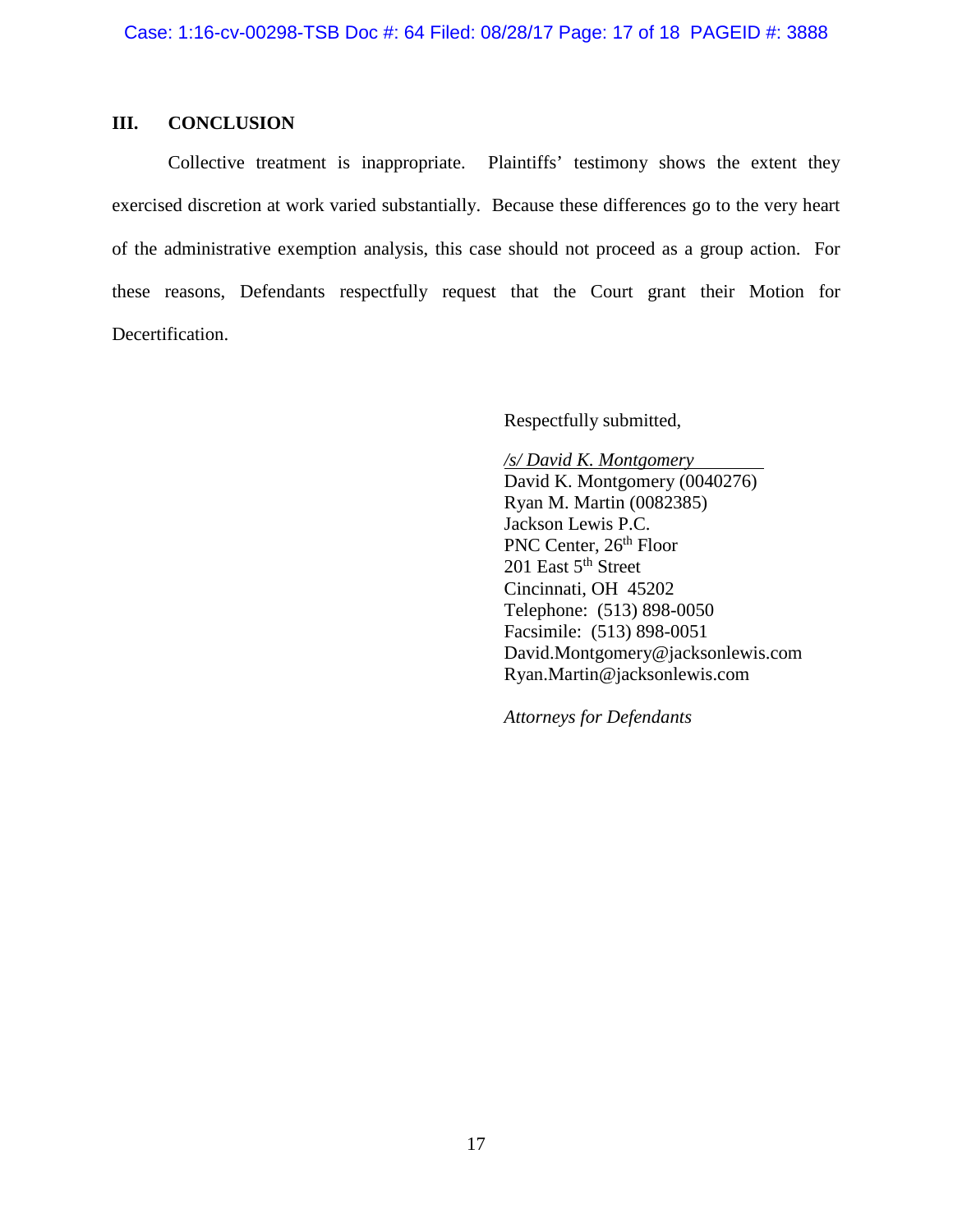# **III. CONCLUSION**

Collective treatment is inappropriate. Plaintiffs' testimony shows the extent they exercised discretion at work varied substantially. Because these differences go to the very heart of the administrative exemption analysis, this case should not proceed as a group action. For these reasons, Defendants respectfully request that the Court grant their Motion for Decertification.

Respectfully submitted,

*/s/ David K. Montgomery*  David K. Montgomery (0040276) Ryan M. Martin (0082385) Jackson Lewis P.C. PNC Center, 26<sup>th</sup> Floor 201 East  $5<sup>th</sup>$  Street Cincinnati, OH 45202 Telephone: (513) 898-0050 Facsimile: (513) 898-0051 David.Montgomery@jacksonlewis.com Ryan.Martin@jacksonlewis.com

*Attorneys for Defendants*